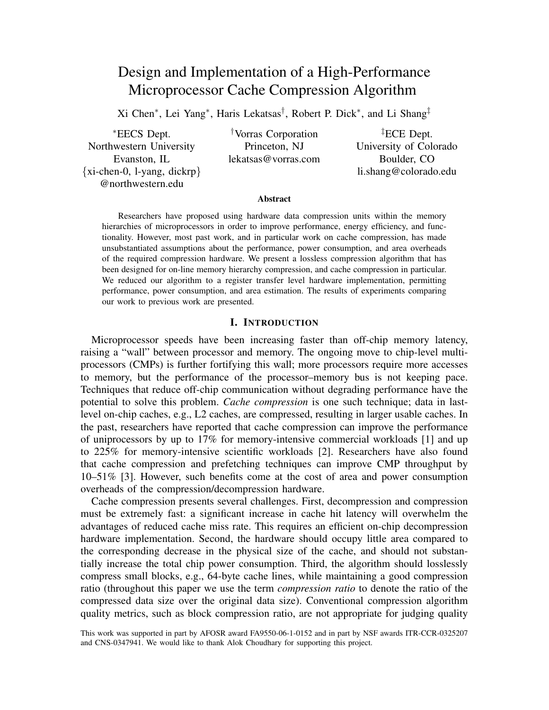# Design and Implementation of a High-Performance Microprocessor Cache Compression Algorithm

Xi Chen<sup>∗</sup>, Lei Yang<sup>∗</sup>, Haris Lekatsas<sup>†</sup>, Robert P. Dick<sup>∗</sup>, and Li Shang<sup>‡</sup>

<sup>∗</sup>EECS Dept. Northwestern University Evanston, IL {xi-chen-0, l-yang, dickrp} @northwestern.edu

†Vorras Corporation Princeton, NJ lekatsas@vorras.com

‡ECE Dept. University of Colorado Boulder, CO li.shang@colorado.edu

#### Abstract

Researchers have proposed using hardware data compression units within the memory hierarchies of microprocessors in order to improve performance, energy efficiency, and functionality. However, most past work, and in particular work on cache compression, has made unsubstantiated assumptions about the performance, power consumption, and area overheads of the required compression hardware. We present a lossless compression algorithm that has been designed for on-line memory hierarchy compression, and cache compression in particular. We reduced our algorithm to a register transfer level hardware implementation, permitting performance, power consumption, and area estimation. The results of experiments comparing our work to previous work are presented.

## I. INTRODUCTION

Microprocessor speeds have been increasing faster than off-chip memory latency, raising a "wall" between processor and memory. The ongoing move to chip-level multiprocessors (CMPs) is further fortifying this wall; more processors require more accesses to memory, but the performance of the processor–memory bus is not keeping pace. Techniques that reduce off-chip communication without degrading performance have the potential to solve this problem. *Cache compression* is one such technique; data in lastlevel on-chip caches, e.g., L2 caches, are compressed, resulting in larger usable caches. In the past, researchers have reported that cache compression can improve the performance of uniprocessors by up to 17% for memory-intensive commercial workloads [1] and up to 225% for memory-intensive scientific workloads [2]. Researchers have also found that cache compression and prefetching techniques can improve CMP throughput by 10–51% [3]. However, such benefits come at the cost of area and power consumption overheads of the compression/decompression hardware.

Cache compression presents several challenges. First, decompression and compression must be extremely fast: a significant increase in cache hit latency will overwhelm the advantages of reduced cache miss rate. This requires an efficient on-chip decompression hardware implementation. Second, the hardware should occupy little area compared to the corresponding decrease in the physical size of the cache, and should not substantially increase the total chip power consumption. Third, the algorithm should losslessly compress small blocks, e.g., 64-byte cache lines, while maintaining a good compression ratio (throughout this paper we use the term *compression ratio* to denote the ratio of the compressed data size over the original data size). Conventional compression algorithm quality metrics, such as block compression ratio, are not appropriate for judging quality

This work was supported in part by AFOSR award FA9550-06-1-0152 and in part by NSF awards ITR-CCR-0325207 and CNS-0347941. We would like to thank Alok Choudhary for supporting this project.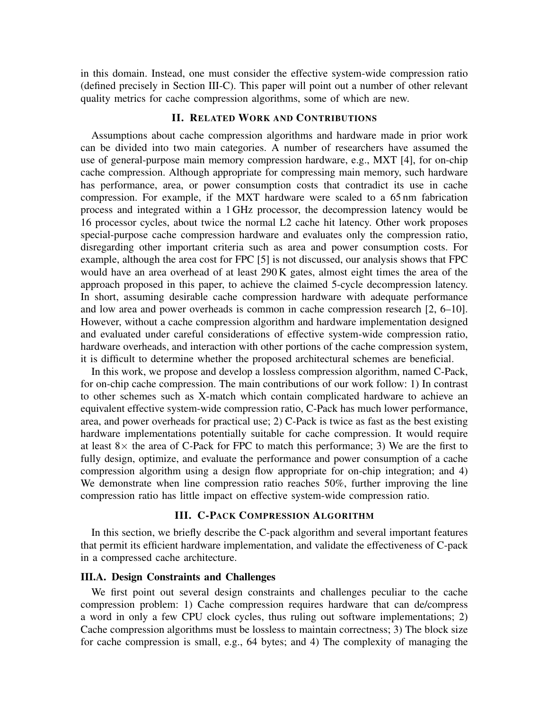in this domain. Instead, one must consider the effective system-wide compression ratio (defined precisely in Section III-C). This paper will point out a number of other relevant quality metrics for cache compression algorithms, some of which are new.

# II. RELATED WORK AND CONTRIBUTIONS

Assumptions about cache compression algorithms and hardware made in prior work can be divided into two main categories. A number of researchers have assumed the use of general-purpose main memory compression hardware, e.g., MXT [4], for on-chip cache compression. Although appropriate for compressing main memory, such hardware has performance, area, or power consumption costs that contradict its use in cache compression. For example, if the MXT hardware were scaled to a 65 nm fabrication process and integrated within a 1 GHz processor, the decompression latency would be 16 processor cycles, about twice the normal L2 cache hit latency. Other work proposes special-purpose cache compression hardware and evaluates only the compression ratio, disregarding other important criteria such as area and power consumption costs. For example, although the area cost for FPC [5] is not discussed, our analysis shows that FPC would have an area overhead of at least 290 K gates, almost eight times the area of the approach proposed in this paper, to achieve the claimed 5-cycle decompression latency. In short, assuming desirable cache compression hardware with adequate performance and low area and power overheads is common in cache compression research [2, 6–10]. However, without a cache compression algorithm and hardware implementation designed and evaluated under careful considerations of effective system-wide compression ratio, hardware overheads, and interaction with other portions of the cache compression system, it is difficult to determine whether the proposed architectural schemes are beneficial.

In this work, we propose and develop a lossless compression algorithm, named C-Pack, for on-chip cache compression. The main contributions of our work follow: 1) In contrast to other schemes such as X-match which contain complicated hardware to achieve an equivalent effective system-wide compression ratio, C-Pack has much lower performance, area, and power overheads for practical use; 2) C-Pack is twice as fast as the best existing hardware implementations potentially suitable for cache compression. It would require at least  $8 \times$  the area of C-Pack for FPC to match this performance; 3) We are the first to fully design, optimize, and evaluate the performance and power consumption of a cache compression algorithm using a design flow appropriate for on-chip integration; and 4) We demonstrate when line compression ratio reaches 50%, further improving the line compression ratio has little impact on effective system-wide compression ratio.

#### III. C-PACK COMPRESSION ALGORITHM

In this section, we briefly describe the C-pack algorithm and several important features that permit its efficient hardware implementation, and validate the effectiveness of C-pack in a compressed cache architecture.

#### III.A. Design Constraints and Challenges

We first point out several design constraints and challenges peculiar to the cache compression problem: 1) Cache compression requires hardware that can de/compress a word in only a few CPU clock cycles, thus ruling out software implementations; 2) Cache compression algorithms must be lossless to maintain correctness; 3) The block size for cache compression is small, e.g., 64 bytes; and 4) The complexity of managing the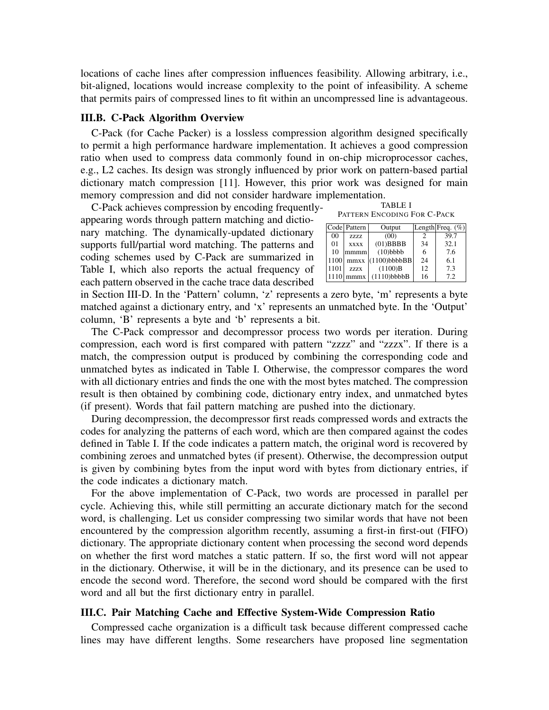locations of cache lines after compression influences feasibility. Allowing arbitrary, i.e., bit-aligned, locations would increase complexity to the point of infeasibility. A scheme that permits pairs of compressed lines to fit within an uncompressed line is advantageous.

## III.B. C-Pack Algorithm Overview

C-Pack (for Cache Packer) is a lossless compression algorithm designed specifically to permit a high performance hardware implementation. It achieves a good compression ratio when used to compress data commonly found in on-chip microprocessor caches, e.g., L2 caches. Its design was strongly influenced by prior work on pattern-based partial dictionary match compression [11]. However, this prior work was designed for main memory compression and did not consider hardware implementation.

C-Pack achieves compression by encoding frequentlyappearing words through pattern matching and dictionary matching. The dynamically-updated dictionary supports full/partial word matching. The patterns and coding schemes used by C-Pack are summarized in Table I, which also reports the actual frequency of each pattern observed in the cache trace data described

TABLE I PATTERN ENCODING FOR C-PACK

|                | Codel Pattern | Output          |    | Length Freq. $(\%)$ |
|----------------|---------------|-----------------|----|---------------------|
| 0 <sup>0</sup> | 7.7.7.7.      | (00)            |    | 39.7                |
| 01             | <b>XXXX</b>   | $(01)$ BBBB     | 34 | 32.1                |
| 10             | mmmm          | $(10)$ bbbb     | 6  | 7.6                 |
| 1100           | mmxx          | $(1100)$ bbbbBB | 24 | 6.1                 |
| 1101           | <b>7.7.7X</b> | (1100)B         | 12 | 7.3                 |
| 1110           | mmmx          | $(1110)$ bbbbB  | 16 | 72                  |

in Section III-D. In the 'Pattern' column, 'z' represents a zero byte, 'm' represents a byte matched against a dictionary entry, and 'x' represents an unmatched byte. In the 'Output' column, 'B' represents a byte and 'b' represents a bit.

The C-Pack compressor and decompressor process two words per iteration. During compression, each word is first compared with pattern "zzzz" and "zzzx". If there is a match, the compression output is produced by combining the corresponding code and unmatched bytes as indicated in Table I. Otherwise, the compressor compares the word with all dictionary entries and finds the one with the most bytes matched. The compression result is then obtained by combining code, dictionary entry index, and unmatched bytes (if present). Words that fail pattern matching are pushed into the dictionary.

During decompression, the decompressor first reads compressed words and extracts the codes for analyzing the patterns of each word, which are then compared against the codes defined in Table I. If the code indicates a pattern match, the original word is recovered by combining zeroes and unmatched bytes (if present). Otherwise, the decompression output is given by combining bytes from the input word with bytes from dictionary entries, if the code indicates a dictionary match.

For the above implementation of C-Pack, two words are processed in parallel per cycle. Achieving this, while still permitting an accurate dictionary match for the second word, is challenging. Let us consider compressing two similar words that have not been encountered by the compression algorithm recently, assuming a first-in first-out (FIFO) dictionary. The appropriate dictionary content when processing the second word depends on whether the first word matches a static pattern. If so, the first word will not appear in the dictionary. Otherwise, it will be in the dictionary, and its presence can be used to encode the second word. Therefore, the second word should be compared with the first word and all but the first dictionary entry in parallel.

## III.C. Pair Matching Cache and Effective System-Wide Compression Ratio

Compressed cache organization is a difficult task because different compressed cache lines may have different lengths. Some researchers have proposed line segmentation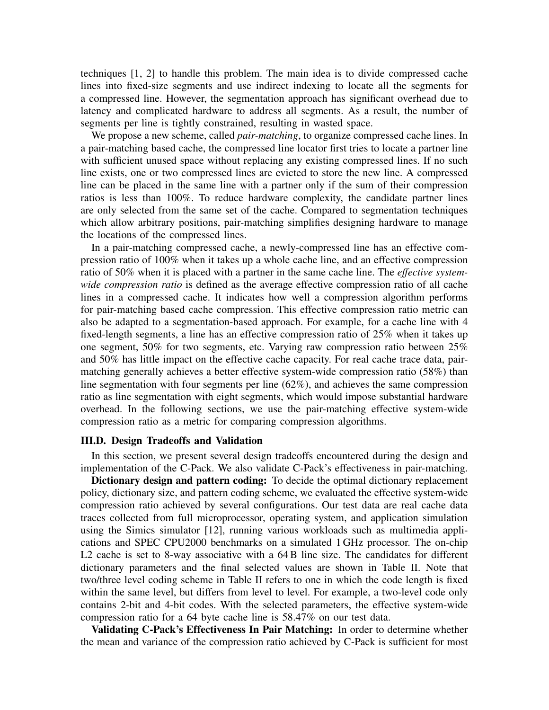techniques [1, 2] to handle this problem. The main idea is to divide compressed cache lines into fixed-size segments and use indirect indexing to locate all the segments for a compressed line. However, the segmentation approach has significant overhead due to latency and complicated hardware to address all segments. As a result, the number of segments per line is tightly constrained, resulting in wasted space.

We propose a new scheme, called *pair-matching*, to organize compressed cache lines. In a pair-matching based cache, the compressed line locator first tries to locate a partner line with sufficient unused space without replacing any existing compressed lines. If no such line exists, one or two compressed lines are evicted to store the new line. A compressed line can be placed in the same line with a partner only if the sum of their compression ratios is less than 100%. To reduce hardware complexity, the candidate partner lines are only selected from the same set of the cache. Compared to segmentation techniques which allow arbitrary positions, pair-matching simplifies designing hardware to manage the locations of the compressed lines.

In a pair-matching compressed cache, a newly-compressed line has an effective compression ratio of 100% when it takes up a whole cache line, and an effective compression ratio of 50% when it is placed with a partner in the same cache line. The *effective systemwide compression ratio* is defined as the average effective compression ratio of all cache lines in a compressed cache. It indicates how well a compression algorithm performs for pair-matching based cache compression. This effective compression ratio metric can also be adapted to a segmentation-based approach. For example, for a cache line with 4 fixed-length segments, a line has an effective compression ratio of 25% when it takes up one segment, 50% for two segments, etc. Varying raw compression ratio between 25% and 50% has little impact on the effective cache capacity. For real cache trace data, pairmatching generally achieves a better effective system-wide compression ratio (58%) than line segmentation with four segments per line (62%), and achieves the same compression ratio as line segmentation with eight segments, which would impose substantial hardware overhead. In the following sections, we use the pair-matching effective system-wide compression ratio as a metric for comparing compression algorithms.

#### III.D. Design Tradeoffs and Validation

In this section, we present several design tradeoffs encountered during the design and implementation of the C-Pack. We also validate C-Pack's effectiveness in pair-matching.

Dictionary design and pattern coding: To decide the optimal dictionary replacement policy, dictionary size, and pattern coding scheme, we evaluated the effective system-wide compression ratio achieved by several configurations. Our test data are real cache data traces collected from full microprocessor, operating system, and application simulation using the Simics simulator [12], running various workloads such as multimedia applications and SPEC CPU2000 benchmarks on a simulated 1 GHz processor. The on-chip L2 cache is set to 8-way associative with a 64 B line size. The candidates for different dictionary parameters and the final selected values are shown in Table II. Note that two/three level coding scheme in Table II refers to one in which the code length is fixed within the same level, but differs from level to level. For example, a two-level code only contains 2-bit and 4-bit codes. With the selected parameters, the effective system-wide compression ratio for a 64 byte cache line is 58.47% on our test data.

Validating C-Pack's Effectiveness In Pair Matching: In order to determine whether the mean and variance of the compression ratio achieved by C-Pack is sufficient for most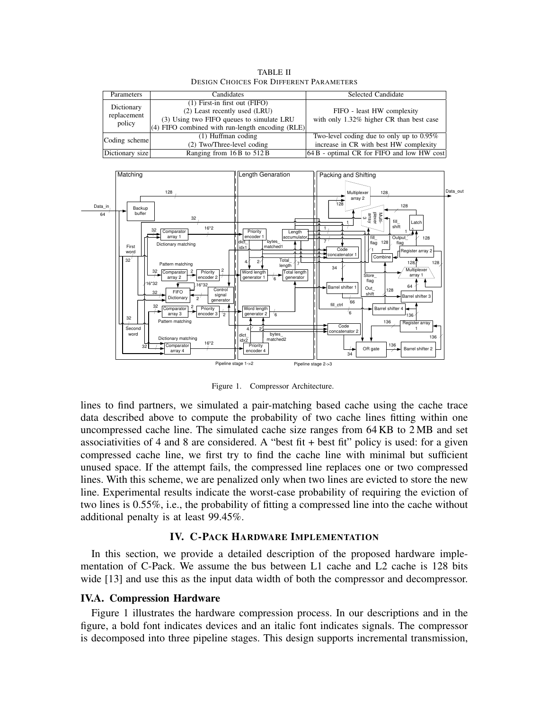| Parameters      | Candidates                                         | Selected Candidate                           |
|-----------------|----------------------------------------------------|----------------------------------------------|
| Dictionary      | (1) First-in first out (FIFO)                      |                                              |
| replacement     | (2) Least recently used (LRU)                      | FIFO - least HW complexity                   |
| policy          | (3) Using two FIFO queues to simulate LRU          | with only 1.32% higher CR than best case     |
|                 | $(4)$ FIFO combined with run-length encoding (RLE) |                                              |
| Coding scheme   | $(1)$ Huffman coding                               | Two-level coding due to only up to $0.95\%$  |
|                 | (2) Two/Three-level coding                         | increase in CR with best HW complexity       |
| Dictionary size | Ranging from 16B to 512B                           | [64 B - optimal CR for FIFO and low HW cost] |



Figure 1. Compressor Architecture.

lines to find partners, we simulated a pair-matching based cache using the cache trace data described above to compute the probability of two cache lines fitting within one uncompressed cache line. The simulated cache size ranges from 64 KB to 2 MB and set associativities of 4 and 8 are considered. A "best fit + best fit" policy is used: for a given compressed cache line, we first try to find the cache line with minimal but sufficient unused space. If the attempt fails, the compressed line replaces one or two compressed lines. With this scheme, we are penalized only when two lines are evicted to store the new line. Experimental results indicate the worst-case probability of requiring the eviction of two lines is 0.55%, i.e., the probability of fitting a compressed line into the cache without additional penalty is at least 99.45%.

## IV. C-PACK HARDWARE IMPLEMENTATION

In this section, we provide a detailed description of the proposed hardware implementation of C-Pack. We assume the bus between L1 cache and L2 cache is 128 bits wide [13] and use this as the input data width of both the compressor and decompressor.

## IV.A. Compression Hardware

Figure 1 illustrates the hardware compression process. In our descriptions and in the figure, a bold font indicates devices and an italic font indicates signals. The compressor is decomposed into three pipeline stages. This design supports incremental transmission,

TABLE II DESIGN CHOICES FOR DIFFERENT PARAMETERS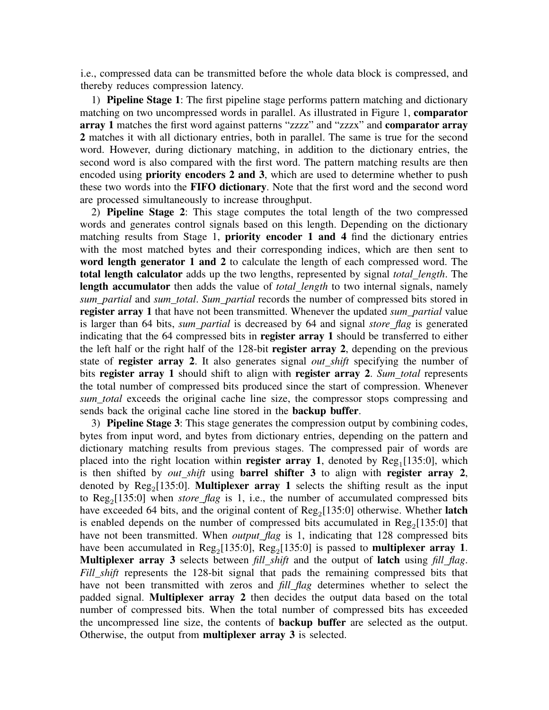i.e., compressed data can be transmitted before the whole data block is compressed, and thereby reduces compression latency.

1) Pipeline Stage 1: The first pipeline stage performs pattern matching and dictionary matching on two uncompressed words in parallel. As illustrated in Figure 1, comparator array 1 matches the first word against patterns "zzzz" and "zzzx" and comparator array 2 matches it with all dictionary entries, both in parallel. The same is true for the second word. However, during dictionary matching, in addition to the dictionary entries, the second word is also compared with the first word. The pattern matching results are then encoded using priority encoders 2 and 3, which are used to determine whether to push these two words into the FIFO dictionary. Note that the first word and the second word are processed simultaneously to increase throughput.

2) Pipeline Stage 2: This stage computes the total length of the two compressed words and generates control signals based on this length. Depending on the dictionary matching results from Stage 1, priority encoder 1 and 4 find the dictionary entries with the most matched bytes and their corresponding indices, which are then sent to word length generator 1 and 2 to calculate the length of each compressed word. The total length calculator adds up the two lengths, represented by signal *total length*. The length accumulator then adds the value of *total length* to two internal signals, namely *sum partial* and *sum total*. *Sum partial* records the number of compressed bits stored in register array 1 that have not been transmitted. Whenever the updated *sum partial* value is larger than 64 bits, *sum partial* is decreased by 64 and signal *store flag* is generated indicating that the 64 compressed bits in register array 1 should be transferred to either the left half or the right half of the 128-bit register array 2, depending on the previous state of register array 2. It also generates signal *out shift* specifying the number of bits register array 1 should shift to align with register array 2. *Sum total* represents the total number of compressed bits produced since the start of compression. Whenever *sum total* exceeds the original cache line size, the compressor stops compressing and sends back the original cache line stored in the backup buffer.

3) Pipeline Stage 3: This stage generates the compression output by combining codes, bytes from input word, and bytes from dictionary entries, depending on the pattern and dictionary matching results from previous stages. The compressed pair of words are placed into the right location within **register array 1**, denoted by  $\text{Reg}_1[135:0]$ , which is then shifted by *out shift* using barrel shifter 3 to align with register array 2, denoted by  $\text{Reg}_2[135:0]$ . Multiplexer array 1 selects the shifting result as the input to Reg<sub>2</sub>[135:0] when *store\_flag* is 1, i.e., the number of accumulated compressed bits have exceeded 64 bits, and the original content of  $\text{Reg}_2[135:0]$  otherwise. Whether **latch** is enabled depends on the number of compressed bits accumulated in  $\text{Reg}_2[135:0]$  that have not been transmitted. When *output flag* is 1, indicating that 128 compressed bits have been accumulated in  $Reg_2[135:0]$ ,  $Reg_2[135:0]$  is passed to **multiplexer array 1**. Multiplexer array 3 selects between *fill shift* and the output of latch using *fill flag*. *Fill shift* represents the 128-bit signal that pads the remaining compressed bits that have not been transmitted with zeros and *fill flag* determines whether to select the padded signal. Multiplexer array 2 then decides the output data based on the total number of compressed bits. When the total number of compressed bits has exceeded the uncompressed line size, the contents of backup buffer are selected as the output. Otherwise, the output from multiplexer array 3 is selected.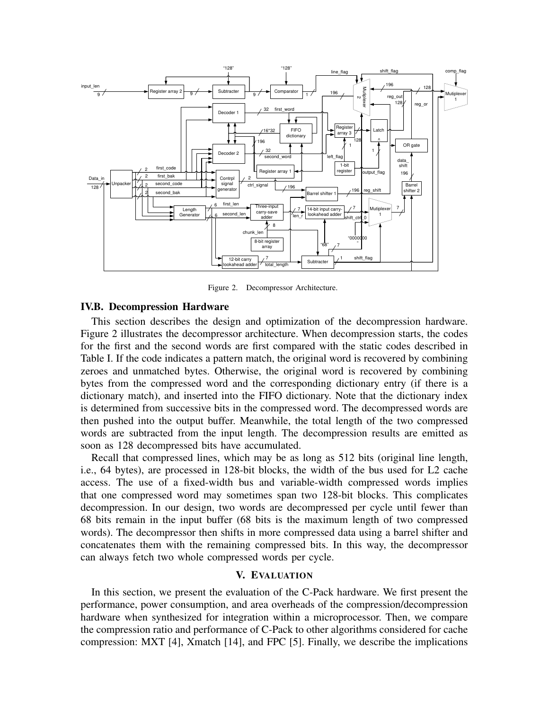

Figure 2. Decompressor Architecture.

## IV.B. Decompression Hardware

This section describes the design and optimization of the decompression hardware. Figure 2 illustrates the decompressor architecture. When decompression starts, the codes for the first and the second words are first compared with the static codes described in Table I. If the code indicates a pattern match, the original word is recovered by combining zeroes and unmatched bytes. Otherwise, the original word is recovered by combining bytes from the compressed word and the corresponding dictionary entry (if there is a dictionary match), and inserted into the FIFO dictionary. Note that the dictionary index is determined from successive bits in the compressed word. The decompressed words are then pushed into the output buffer. Meanwhile, the total length of the two compressed words are subtracted from the input length. The decompression results are emitted as soon as 128 decompressed bits have accumulated.

Recall that compressed lines, which may be as long as 512 bits (original line length, i.e., 64 bytes), are processed in 128-bit blocks, the width of the bus used for L2 cache access. The use of a fixed-width bus and variable-width compressed words implies that one compressed word may sometimes span two 128-bit blocks. This complicates decompression. In our design, two words are decompressed per cycle until fewer than 68 bits remain in the input buffer (68 bits is the maximum length of two compressed words). The decompressor then shifts in more compressed data using a barrel shifter and concatenates them with the remaining compressed bits. In this way, the decompressor can always fetch two whole compressed words per cycle.

## V. EVALUATION

In this section, we present the evaluation of the C-Pack hardware. We first present the performance, power consumption, and area overheads of the compression/decompression hardware when synthesized for integration within a microprocessor. Then, we compare the compression ratio and performance of C-Pack to other algorithms considered for cache compression: MXT [4], Xmatch [14], and FPC [5]. Finally, we describe the implications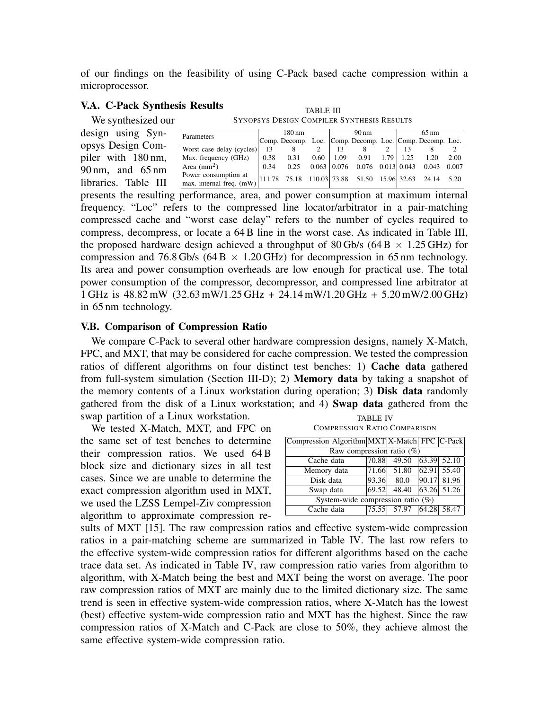of our findings on the feasibility of using C-Pack based cache compression within a microprocessor.

# **V.A. C-Pack Synthesis Results**  $T_{\text{ARIE III}}$

We synthesized our

SYNOPSYS DESIGN COMPILER SYNTHESIS RESULTS

|                                       |                                                  | $180 \,\mathrm{nm}$ |      | 90 nm           |      | $65 \text{ nm}$ |   |               |                                                                                                                  |      |
|---------------------------------------|--------------------------------------------------|---------------------|------|-----------------|------|-----------------|---|---------------|------------------------------------------------------------------------------------------------------------------|------|
| design using Syn-                     | Parameters                                       |                     |      |                 |      |                 |   |               |                                                                                                                  |      |
| opsys Design Com-                     |                                                  |                     |      |                 |      |                 |   |               | Comp. Decomp. Loc. Comp. Decomp. Loc. Comp. Decomp. Loc.                                                         |      |
|                                       | Worst case delay (cycles)                        | 13                  |      | 8 2             | - 13 |                 | 2 |               |                                                                                                                  |      |
| piler with 180 nm,                    | Max. frequency (GHz)                             | 0.38                | 0.31 | $0.60 \pm 1.09$ |      | 0.91            |   | $1.79$   1.25 | 1.20                                                                                                             | 2.00 |
| $90 \text{ nm}$ , and $65 \text{ nm}$ | Area $(mm2)$                                     | 0.34                | 0.25 |                 |      |                 |   |               | $0.063   0.076 0.076 0.013   0.043 0.043 0.007$                                                                  |      |
| libraries. Table III                  | Power consumption at<br>max. internal freq. (mW) |                     |      |                 |      |                 |   |               | $\begin{array}{ l}\n\boxed{111.78} & 75.18 & 110.03 & 73.88 & 51.50 & 15.96 & 32.63 & 24.14 & 5.20\n\end{array}$ |      |

presents the resulting performance, area, and power consumption at maximum internal frequency. "Loc" refers to the compressed line locator/arbitrator in a pair-matching compressed cache and "worst case delay" refers to the number of cycles required to compress, decompress, or locate a 64 B line in the worst case. As indicated in Table III, the proposed hardware design achieved a throughput of 80 Gb/s (64 B  $\times$  1.25 GHz) for compression and 76.8 Gb/s (64 B  $\times$  1.20 GHz) for decompression in 65 nm technology. Its area and power consumption overheads are low enough for practical use. The total power consumption of the compressor, decompressor, and compressed line arbitrator at 1 GHz is 48.82 mW (32.63 mW/1.25 GHz + 24.14 mW/1.20 GHz + 5.20 mW/2.00 GHz) in 65 nm technology.

#### V.B. Comparison of Compression Ratio

We compare C-Pack to several other hardware compression designs, namely X-Match, FPC, and MXT, that may be considered for cache compression. We tested the compression ratios of different algorithms on four distinct test benches: 1) Cache data gathered from full-system simulation (Section III-D); 2) Memory data by taking a snapshot of the memory contents of a Linux workstation during operation; 3) Disk data randomly gathered from the disk of a Linux workstation; and 4) Swap data gathered from the swap partition of a Linux workstation.

We tested X-Match, MXT, and FPC on the same set of test benches to determine their compression ratios. We used 64 B block size and dictionary sizes in all test cases. Since we are unable to determine the exact compression algorithm used in MXT, we used the LZSS Lempel-Ziv compression algorithm to approximate compression re-

| <b>TABLE IV</b>                     |  |
|-------------------------------------|--|
| <b>COMPRESSION RATIO COMPARISON</b> |  |

| Compression Algorithm MXT X-Match FPC C-Pack |       |                                                                             |  |               |  |  |  |  |
|----------------------------------------------|-------|-----------------------------------------------------------------------------|--|---------------|--|--|--|--|
| Raw compression ratio $(\%)$                 |       |                                                                             |  |               |  |  |  |  |
| Cache data                                   |       | 70.88 49.50 63.39 52.10                                                     |  |               |  |  |  |  |
| Memory data                                  |       | $ 71.66 $ 51.80 62.91 55.40                                                 |  |               |  |  |  |  |
| Disk data                                    | 93.36 | 80.0                                                                        |  | 90.17 81.96   |  |  |  |  |
| Swap data                                    |       | 69.52 48.40                                                                 |  | $63.26$ 51.26 |  |  |  |  |
| System-wide compression ratio $(\%)$         |       |                                                                             |  |               |  |  |  |  |
| Cache data                                   |       | $\overline{75.55}$ $\overline{57.97}$ $\overline{64.28}$ $\overline{58.47}$ |  |               |  |  |  |  |

sults of MXT [15]. The raw compression ratios and effective system-wide compression ratios in a pair-matching scheme are summarized in Table IV. The last row refers to the effective system-wide compression ratios for different algorithms based on the cache trace data set. As indicated in Table IV, raw compression ratio varies from algorithm to algorithm, with X-Match being the best and MXT being the worst on average. The poor raw compression ratios of MXT are mainly due to the limited dictionary size. The same trend is seen in effective system-wide compression ratios, where X-Match has the lowest (best) effective system-wide compression ratio and MXT has the highest. Since the raw compression ratios of X-Match and C-Pack are close to 50%, they achieve almost the same effective system-wide compression ratio.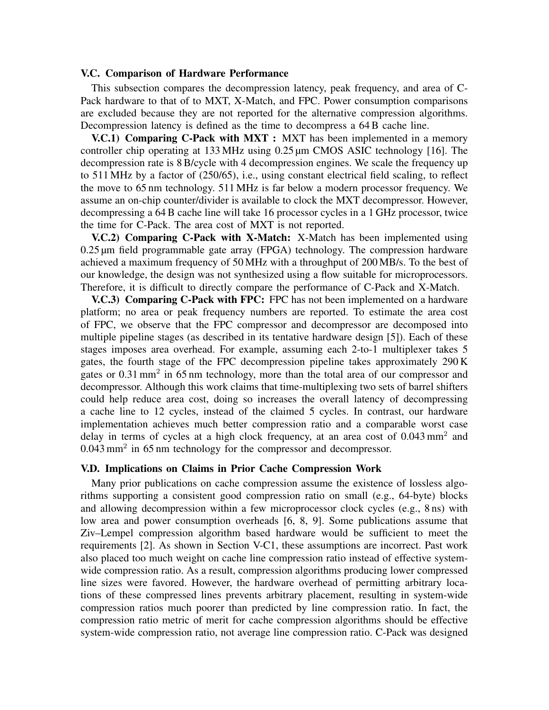## V.C. Comparison of Hardware Performance

This subsection compares the decompression latency, peak frequency, and area of C-Pack hardware to that of to MXT, X-Match, and FPC. Power consumption comparisons are excluded because they are not reported for the alternative compression algorithms. Decompression latency is defined as the time to decompress a 64 B cache line.

V.C.1) Comparing C-Pack with MXT : MXT has been implemented in a memory controller chip operating at 133 MHz using 0.25 µm CMOS ASIC technology [16]. The decompression rate is 8 B/cycle with 4 decompression engines. We scale the frequency up to 511 MHz by a factor of (250/65), i.e., using constant electrical field scaling, to reflect the move to 65 nm technology. 511 MHz is far below a modern processor frequency. We assume an on-chip counter/divider is available to clock the MXT decompressor. However, decompressing a 64 B cache line will take 16 processor cycles in a 1 GHz processor, twice the time for C-Pack. The area cost of MXT is not reported.

V.C.2) Comparing C-Pack with X-Match: X-Match has been implemented using 0.25 µm field programmable gate array (FPGA) technology. The compression hardware achieved a maximum frequency of 50 MHz with a throughput of 200 MB/s. To the best of our knowledge, the design was not synthesized using a flow suitable for microprocessors. Therefore, it is difficult to directly compare the performance of C-Pack and X-Match.

V.C.3) Comparing C-Pack with FPC: FPC has not been implemented on a hardware platform; no area or peak frequency numbers are reported. To estimate the area cost of FPC, we observe that the FPC compressor and decompressor are decomposed into multiple pipeline stages (as described in its tentative hardware design [5]). Each of these stages imposes area overhead. For example, assuming each 2-to-1 multiplexer takes 5 gates, the fourth stage of the FPC decompression pipeline takes approximately 290 K gates or  $0.31$  mm<sup>2</sup> in 65 nm technology, more than the total area of our compressor and decompressor. Although this work claims that time-multiplexing two sets of barrel shifters could help reduce area cost, doing so increases the overall latency of decompressing a cache line to 12 cycles, instead of the claimed 5 cycles. In contrast, our hardware implementation achieves much better compression ratio and a comparable worst case delay in terms of cycles at a high clock frequency, at an area cost of 0.043 mm<sup>2</sup> and 0.043 mm<sup>2</sup> in 65 nm technology for the compressor and decompressor.

#### V.D. Implications on Claims in Prior Cache Compression Work

Many prior publications on cache compression assume the existence of lossless algorithms supporting a consistent good compression ratio on small (e.g., 64-byte) blocks and allowing decompression within a few microprocessor clock cycles (e.g., 8 ns) with low area and power consumption overheads [6, 8, 9]. Some publications assume that Ziv–Lempel compression algorithm based hardware would be sufficient to meet the requirements [2]. As shown in Section V-C1, these assumptions are incorrect. Past work also placed too much weight on cache line compression ratio instead of effective systemwide compression ratio. As a result, compression algorithms producing lower compressed line sizes were favored. However, the hardware overhead of permitting arbitrary locations of these compressed lines prevents arbitrary placement, resulting in system-wide compression ratios much poorer than predicted by line compression ratio. In fact, the compression ratio metric of merit for cache compression algorithms should be effective system-wide compression ratio, not average line compression ratio. C-Pack was designed